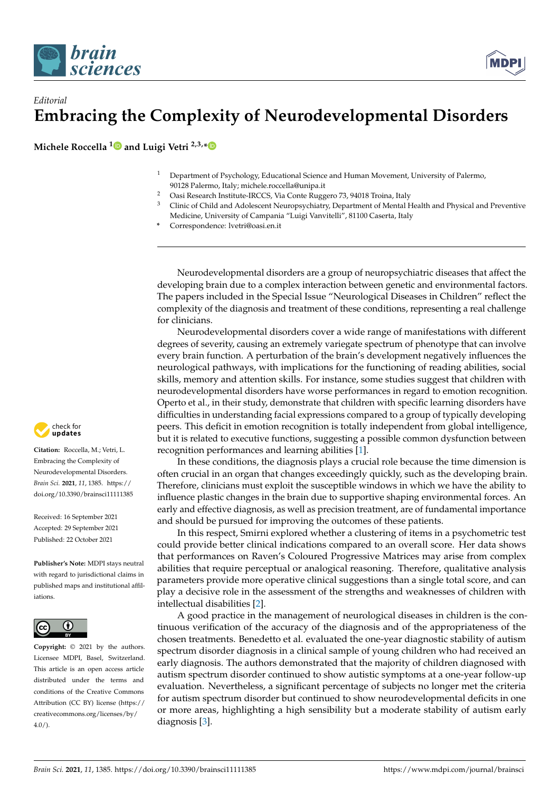



## *Editorial* **Embracing the Complexity of Neurodevelopmental Disorders**

**Michele Roccella [1](https://orcid.org/0000-0002-7371-0228) and Luigi Vetri 2,3,[\\*](https://orcid.org/0000-0002-0121-3396)**

- <sup>1</sup> Department of Psychology, Educational Science and Human Movement, University of Palermo, 90128 Palermo, Italy; michele.roccella@unipa.it
- <sup>2</sup> Oasi Research Institute-IRCCS, Via Conte Ruggero 73, 94018 Troina, Italy<br><sup>3</sup> Clinic of Child and Adelessant Nauronauchistury Department of Martal L
- <sup>3</sup> Clinic of Child and Adolescent Neuropsychiatry, Department of Mental Health and Physical and Preventive Medicine, University of Campania "Luigi Vanvitelli", 81100 Caserta, Italy
- **\*** Correspondence: lvetri@oasi.en.it

Neurodevelopmental disorders are a group of neuropsychiatric diseases that affect the developing brain due to a complex interaction between genetic and environmental factors. The papers included in the Special Issue "Neurological Diseases in Children" reflect the complexity of the diagnosis and treatment of these conditions, representing a real challenge for clinicians.

Neurodevelopmental disorders cover a wide range of manifestations with different degrees of severity, causing an extremely variegate spectrum of phenotype that can involve every brain function. A perturbation of the brain's development negatively influences the neurological pathways, with implications for the functioning of reading abilities, social skills, memory and attention skills. For instance, some studies suggest that children with neurodevelopmental disorders have worse performances in regard to emotion recognition. Operto et al., in their study, demonstrate that children with specific learning disorders have difficulties in understanding facial expressions compared to a group of typically developing peers. This deficit in emotion recognition is totally independent from global intelligence, but it is related to executive functions, suggesting a possible common dysfunction between recognition performances and learning abilities [\[1\]](#page-1-0).

In these conditions, the diagnosis plays a crucial role because the time dimension is often crucial in an organ that changes exceedingly quickly, such as the developing brain. Therefore, clinicians must exploit the susceptible windows in which we have the ability to influence plastic changes in the brain due to supportive shaping environmental forces. An early and effective diagnosis, as well as precision treatment, are of fundamental importance and should be pursued for improving the outcomes of these patients.

In this respect, Smirni explored whether a clustering of items in a psychometric test could provide better clinical indications compared to an overall score. Her data shows that performances on Raven's Coloured Progressive Matrices may arise from complex abilities that require perceptual or analogical reasoning. Therefore, qualitative analysis parameters provide more operative clinical suggestions than a single total score, and can play a decisive role in the assessment of the strengths and weaknesses of children with intellectual disabilities [\[2\]](#page-1-1).

A good practice in the management of neurological diseases in children is the continuous verification of the accuracy of the diagnosis and of the appropriateness of the chosen treatments. Benedetto et al. evaluated the one-year diagnostic stability of autism spectrum disorder diagnosis in a clinical sample of young children who had received an early diagnosis. The authors demonstrated that the majority of children diagnosed with autism spectrum disorder continued to show autistic symptoms at a one-year follow-up evaluation. Nevertheless, a significant percentage of subjects no longer met the criteria for autism spectrum disorder but continued to show neurodevelopmental deficits in one or more areas, highlighting a high sensibility but a moderate stability of autism early diagnosis [\[3\]](#page-1-2).



**Citation:** Roccella, M.; Vetri, L. Embracing the Complexity of Neurodevelopmental Disorders. *Brain Sci.* **2021**, *11*, 1385. [https://](https://doi.org/10.3390/brainsci11111385) [doi.org/10.3390/brainsci11111385](https://doi.org/10.3390/brainsci11111385)

Received: 16 September 2021 Accepted: 29 September 2021 Published: 22 October 2021

**Publisher's Note:** MDPI stays neutral with regard to jurisdictional claims in published maps and institutional affiliations.



**Copyright:** © 2021 by the authors. Licensee MDPI, Basel, Switzerland. This article is an open access article distributed under the terms and conditions of the Creative Commons Attribution (CC BY) license (https:/[/](https://creativecommons.org/licenses/by/4.0/) [creativecommons.org/licenses/by/](https://creativecommons.org/licenses/by/4.0/)  $4.0/$ ).